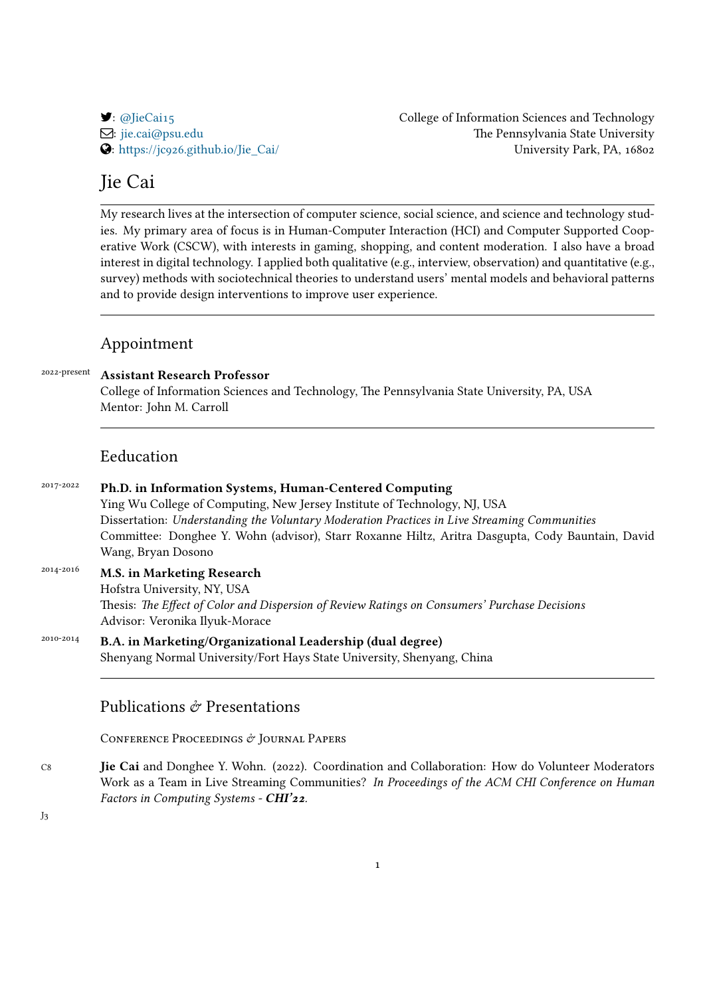: [@JieCai15](https://twitter.com/JieCai15) College of Information Sciences and Technology : [jie.cai@psu.edu](mailto:jie.cai@psu.edu) The Pennsylvania State University : [https://jc926.github.io/Jie\\_Cai/](https://jc926.github.io/Jie_Cai/) University Park, PA, 16802

## Jie Cai

My research lives at the intersection of computer science, social science, and science and technology studies. My primary area of focus is in Human-Computer Interaction (HCI) and Computer Supported Cooperative Work (CSCW), with interests in gaming, shopping, and content moderation. I also have a broad interest in digital technology. I applied both qualitative (e.g., interview, observation) and quantitative (e.g., survey) methods with sociotechnical theories to understand users' mental models and behavioral patterns and to provide design interventions to improve user experience.

## Appointment

| 2022-present | <b>Assistant Research Professor</b><br>College of Information Sciences and Technology, The Pennsylvania State University, PA, USA<br>Mentor: John M. Carroll                                                                        |
|--------------|-------------------------------------------------------------------------------------------------------------------------------------------------------------------------------------------------------------------------------------|
|              | Eeducation                                                                                                                                                                                                                          |
| 2017-2022    | Ph.D. in Information Systems, Human-Centered Computing<br>Ying Wu College of Computing, New Jersey Institute of Technology, NJ, USA<br>Dissertation: Understanding the Voluntary Moderation Practices in Live Streaming Communities |

Committee: Donghee Y. Wohn (advisor), Starr Roxanne Hiltz, Aritra Dasgupta, Cody Bauntain, David Wang, Bryan Dosono

2014-2016 **M.S. in Marketing Research** Hofstra University, NY, USA Thesis: *The Effect of Color and Dispersion of Review Ratings on Consumers' Purchase Decisions* Advisor: Veronika Ilyuk-Morace

2010-2014 **B.A. in Marketing/Organizational Leadership (dual degree)** Shenyang Normal University/Fort Hays State University, Shenyang, China

## Publications  $\partial z$  Presentations

CONFERENCE PROCEEDINGS & JOURNAL PAPERS

C8 **Jie Cai** and Donghee Y. Wohn. (2022). Coordination and Collaboration: How do Volunteer Moderators Work as a Team in Live Streaming Communities? *In Proceedings of the ACM CHI Conference on Human Factors in Computing Systems - CHI'22.*

J3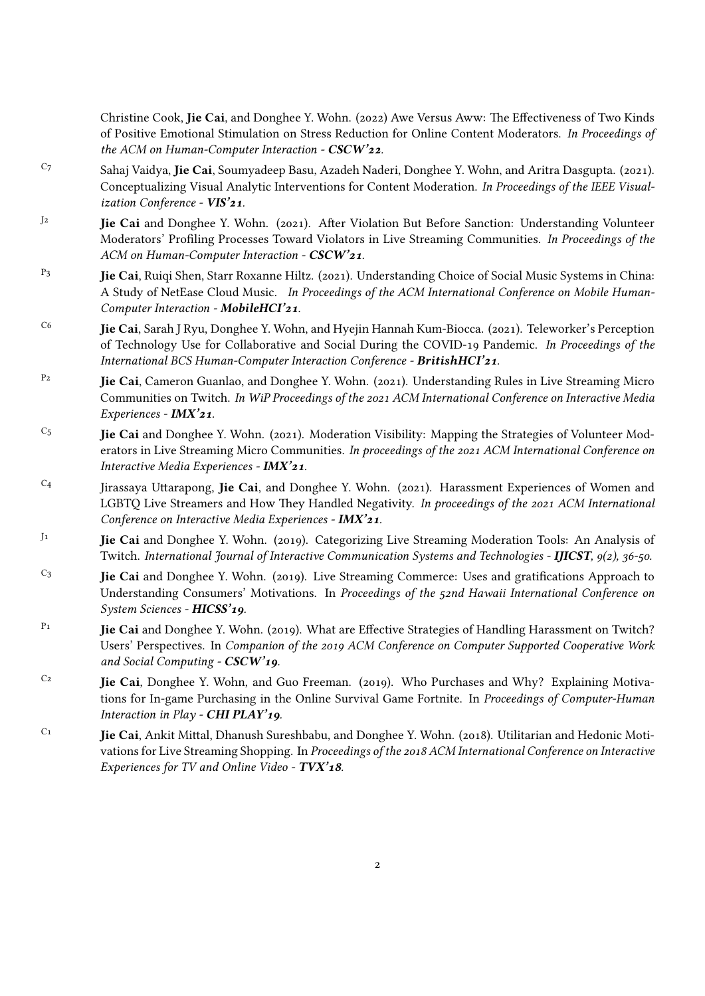Christine Cook, **Jie Cai**, and Donghee Y. Wohn. (2022) Awe Versus Aww: The Effectiveness of Two Kinds of Positive Emotional Stimulation on Stress Reduction for Online Content Moderators. *In Proceedings of the ACM on Human-Computer Interaction - CSCW'22.*

- C7 Sahaj Vaidya, **Jie Cai**, Soumyadeep Basu, Azadeh Naderi, Donghee Y. Wohn, and Aritra Dasgupta. (2021). Conceptualizing Visual Analytic Interventions for Content Moderation. *In Proceedings of the IEEE Visualization Conference - VIS'21.*
- J2 **Jie Cai** and Donghee Y. Wohn. (2021). After Violation But Before Sanction: Understanding Volunteer Moderators' Profiling Processes Toward Violators in Live Streaming Communities. *In Proceedings of the ACM on Human-Computer Interaction - CSCW'21.*
- P3 **Jie Cai**, Ruiqi Shen, Starr Roxanne Hiltz. (2021). Understanding Choice of Social Music Systems in China: A Study of NetEase Cloud Music. *In Proceedings of the ACM International Conference on Mobile Human-Computer Interaction - MobileHCI'21.*
- C6 **Jie Cai**, Sarah J Ryu, Donghee Y. Wohn, and Hyejin Hannah Kum-Biocca. (2021). Teleworker's Perception of Technology Use for Collaborative and Social During the COVID-19 Pandemic. *In Proceedings of the International BCS Human-Computer Interaction Conference - BritishHCI'21.*
- P2 **Jie Cai**, Cameron Guanlao, and Donghee Y. Wohn. (2021). Understanding Rules in Live Streaming Micro Communities on Twitch. *In WiP Proceedings of the 2021 ACM International Conference on Interactive Media Experiences - IMX'21.*
- C5 **Jie Cai** and Donghee Y. Wohn. (2021). Moderation Visibility: Mapping the Strategies of Volunteer Moderators in Live Streaming Micro Communities. *In proceedings of the 2021 ACM International Conference on Interactive Media Experiences - IMX'21.*
- C4 Jirassaya Uttarapong, **Jie Cai**, and Donghee Y. Wohn. (2021). Harassment Experiences of Women and LGBTQ Live Streamers and How They Handled Negativity. *In proceedings of the 2021 ACM International Conference on Interactive Media Experiences - IMX'21.*
- J1 **Jie Cai** and Donghee Y. Wohn. (2019). Categorizing Live Streaming Moderation Tools: An Analysis of Twitch. *International Journal of Interactive Communication Systems and Technologies - IJICST, 9(2), 36-50.*
- C3 **Jie Cai** and Donghee Y. Wohn. (2019). Live Streaming Commerce: Uses and gratifications Approach to Understanding Consumers' Motivations. In *Proceedings of the 52nd Hawaii International Conference on System Sciences - HICSS'19.*
- P1 **Jie Cai** and Donghee Y. Wohn. (2019). What are Effective Strategies of Handling Harassment on Twitch? Users' Perspectives. In *Companion of the 2019 ACM Conference on Computer Supported Cooperative Work and Social Computing - CSCW'19.*
- C2 **Jie Cai**, Donghee Y. Wohn, and Guo Freeman. (2019). Who Purchases and Why? Explaining Motivations for In-game Purchasing in the Online Survival Game Fortnite. In *Proceedings of Computer-Human Interaction in Play - CHI PLAY'19.*
- C1 **Jie Cai**, Ankit Mittal, Dhanush Sureshbabu, and Donghee Y. Wohn. (2018). Utilitarian and Hedonic Motivations for Live Streaming Shopping. In *Proceedings of the 2018 ACM International Conference on Interactive Experiences for TV and Online Video - TVX'18.*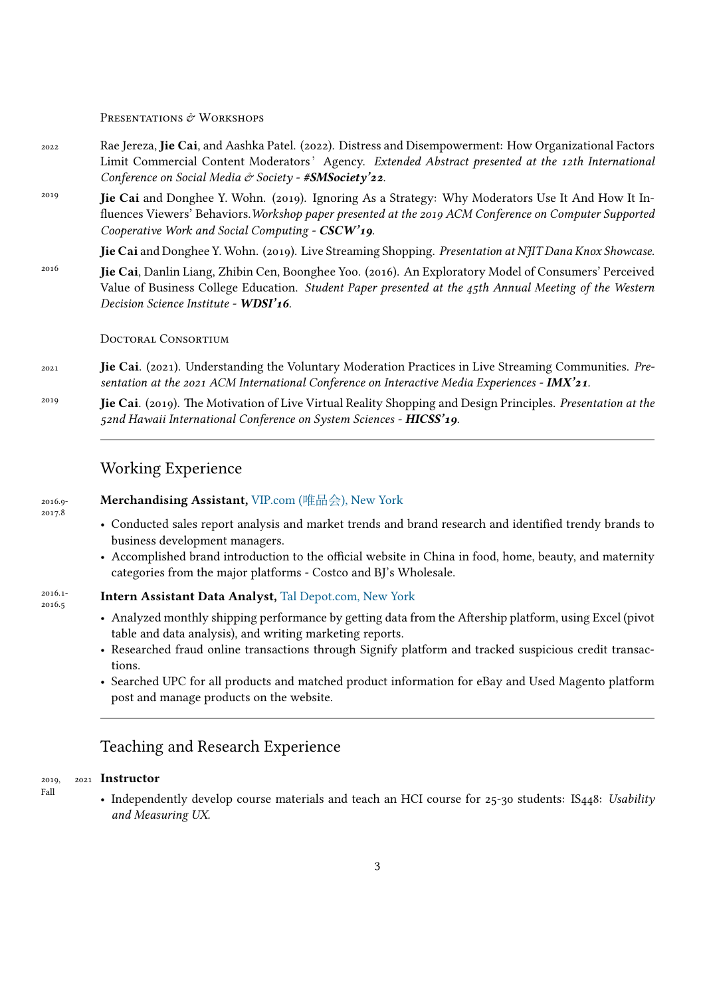## PRESENTATIONS & WORKSHOPS

- 2022 Rae Jereza, **Jie Cai**, and Aashka Patel. (2022). Distress and Disempowerment: How Organizational Factors Limit Commercial Content Moderators' Agency. *Extended Abstract presented at the 12th International Conference on Social Media & Society - #SMSociety'22.*
- <sup>2019</sup> **Jie Cai** and Donghee Y. Wohn. (2019). Ignoring As a Strategy: Why Moderators Use It And How It Influences Viewers' Behaviors.*Workshop paper presented at the 2019 ACM Conference on Computer Supported Cooperative Work and Social Computing - CSCW'19.*

**Jie Cai** and Donghee Y. Wohn. (2019). Live Streaming Shopping. *Presentation at NJIT Dana Knox Showcase.*

<sup>2016</sup> **Jie Cai**, Danlin Liang, Zhibin Cen, Boonghee Yoo. (2016). An Exploratory Model of Consumers' Perceived Value of Business College Education. *Student Paper presented at the 45th Annual Meeting of the Western Decision Science Institute - WDSI'16.*

### Doctoral Consortium

- 2021 **Jie Cai**. (2021). Understanding the Voluntary Moderation Practices in Live Streaming Communities. *Presentation at the 2021 ACM International Conference on Interactive Media Experiences - IMX'21.*
- <sup>2019</sup> **Jie Cai**. (2019). The Motivation of Live Virtual Reality Shopping and Design Principles. *Presentation at the 52nd Hawaii International Conference on System Sciences - HICSS'19.*

## Working Experience

2016.9- 2017.8

2016.1- 2016.5

Fall

## **Merchandising Assistant,** VIP.com (唯品会[\), New York](https://www.linkedin.com/company/guangzhou-vipshop-information-technology-co-ltd/about/)

- Conducted sales report analysis and market trends and brand research and identified trendy brands to business development managers.
- Accomplished brand introduction to the official website in China in food, home, beauty, and maternity categories from the major platforms - Costco and BJ's Wholesale.

#### **Intern Assistant Data Analyst,** [Tal Depot.com, New York](https://taldepot.com/)

- Analyzed monthly shipping performance by getting data from the Aftership platform, using Excel (pivot table and data analysis), and writing marketing reports.
- Researched fraud online transactions through Signify platform and tracked suspicious credit transactions.
- Searched UPC for all products and matched product information for eBay and Used Magento platform post and manage products on the website.

## Teaching and Research Experience

#### 2019 2021 **Instructor**

• Independently develop course materials and teach an HCI course for 25-30 students: IS448: *Usability and Measuring UX.*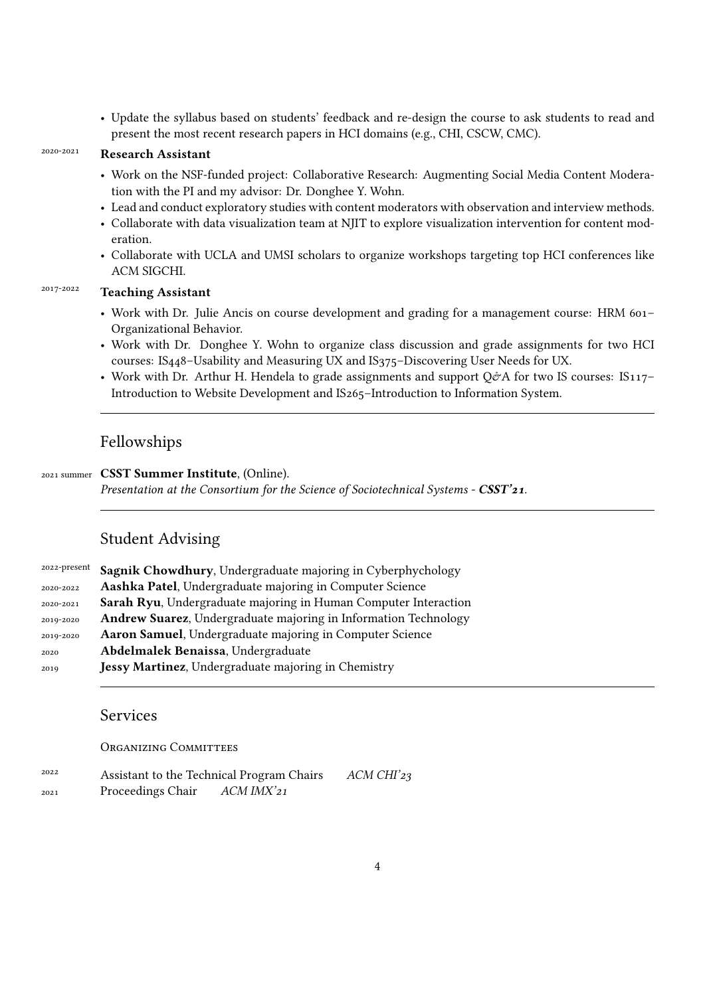• Update the syllabus based on students' feedback and re-design the course to ask students to read and present the most recent research papers in HCI domains (e.g., CHI, CSCW, CMC).

## 2020-2021 **Research Assistant**

- Work on the NSF-funded project: Collaborative Research: Augmenting Social Media Content Moderation with the PI and my advisor: Dr. Donghee Y. Wohn.
- Lead and conduct exploratory studies with content moderators with observation and interview methods.
- Collaborate with data visualization team at NJIT to explore visualization intervention for content moderation.
- Collaborate with UCLA and UMSI scholars to organize workshops targeting top HCI conferences like ACM SIGCHI.

## 2017-2022 **Teaching Assistant**

- Work with Dr. Julie Ancis on course development and grading for a management course: HRM 601– Organizational Behavior.
- Work with Dr. Donghee Y. Wohn to organize class discussion and grade assignments for two HCI courses: IS448–Usability and Measuring UX and IS375–Discovering User Needs for UX.
- Work with Dr. Arthur H. Hendela to grade assignments and support  $Q\hat{\phi}A$  for two IS courses: IS117– Introduction to Website Development and IS265–Introduction to Information System.

## Fellowships

## 2021 summer **CSST Summer Institute**, (Online).

*Presentation at the Consortium for the Science of Sociotechnical Systems - CSST'21.*

## Student Advising

| 2022-present | Sagnik Chowdhury, Undergraduate majoring in Cyberphychology     |
|--------------|-----------------------------------------------------------------|
| 2020-2022    | Aashka Patel, Undergraduate majoring in Computer Science        |
| 2020-2021    | Sarah Ryu, Undergraduate majoring in Human Computer Interaction |
| 2019-2020    | Andrew Suarez, Undergraduate majoring in Information Technology |
| 2019-2020    | Aaron Samuel, Undergraduate majoring in Computer Science        |
| 2020         | Abdelmalek Benaissa, Undergraduate                              |
| 2019         | Jessy Martinez, Undergraduate majoring in Chemistry             |

## Services

### ORGANIZING COMMITTEES

| 2022 | Assistant to the Technical Program Chairs | ACM CHI'23 |  |
|------|-------------------------------------------|------------|--|
| 2021 | Proceedings Chair                         | ACM IMX'21 |  |